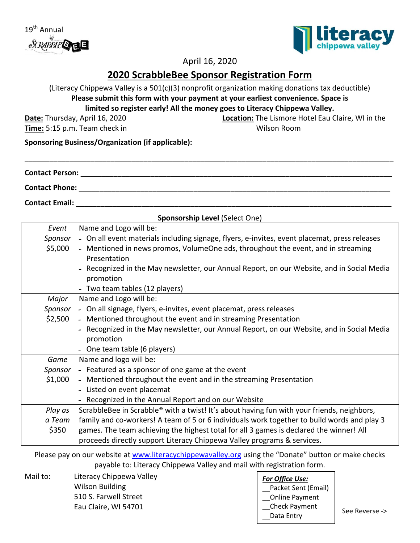



# April 16, 2020

# **2020 ScrabbleBee Sponsor Registration Form**

(Literacy Chippewa Valley is a 501(c)(3) nonprofit organization making donations tax deductible) **Please submit this form with your payment at your earliest convenience. Space is** 

**limited so register early! All the money goes to Literacy Chippewa Valley.**

**Date:** Thursday, April 16, 2020

**Time:** 5:15 p.m. Team check in

**Location:** The Lismore Hotel Eau Claire, WI in the Wilson Room

**Sponsoring Business/Organization (if applicable):**

| <b>Contact Person:</b> |  |  |
|------------------------|--|--|
| <b>Contact Phone:</b>  |  |  |

**Contact Email:** \_\_\_\_\_\_\_\_\_\_\_\_\_\_\_\_\_\_\_\_\_\_\_\_\_\_\_\_\_\_\_\_\_\_\_\_\_\_\_\_\_\_\_\_\_\_\_\_\_\_\_\_\_\_\_\_\_\_\_\_\_\_\_\_\_\_\_\_\_\_\_\_\_\_\_\_\_

| Sponsorship Level (Select One) |                                                                                               |  |  |
|--------------------------------|-----------------------------------------------------------------------------------------------|--|--|
| Event                          | Name and Logo will be:                                                                        |  |  |
| Sponsor                        | - On all event materials including signage, flyers, e-invites, event placemat, press releases |  |  |
| \$5,000                        | - Mentioned in news promos, VolumeOne ads, throughout the event, and in streaming             |  |  |
|                                | Presentation                                                                                  |  |  |
|                                | - Recognized in the May newsletter, our Annual Report, on our Website, and in Social Media    |  |  |
|                                | promotion                                                                                     |  |  |
|                                | - Two team tables (12 players)                                                                |  |  |
| Major                          | Name and Logo will be:                                                                        |  |  |
| Sponsor                        | - On all signage, flyers, e-invites, event placemat, press releases                           |  |  |
| \$2,500                        | - Mentioned throughout the event and in streaming Presentation                                |  |  |
|                                | - Recognized in the May newsletter, our Annual Report, on our Website, and in Social Media    |  |  |
|                                | promotion                                                                                     |  |  |
|                                | - One team table (6 players)                                                                  |  |  |
| Game                           | Name and logo will be:                                                                        |  |  |
| Sponsor                        | - Featured as a sponsor of one game at the event                                              |  |  |
| \$1,000                        | - Mentioned throughout the event and in the streaming Presentation                            |  |  |
|                                | - Listed on event placemat                                                                    |  |  |
|                                | - Recognized in the Annual Report and on our Website                                          |  |  |
| Play as                        | ScrabbleBee in Scrabble® with a twist! It's about having fun with your friends, neighbors,    |  |  |
| a Team                         | family and co-workers! A team of 5 or 6 individuals work together to build words and play 3   |  |  |
| \$350                          | games. The team achieving the highest total for all 3 games is declared the winner! All       |  |  |
|                                | proceeds directly support Literacy Chippewa Valley programs & services.                       |  |  |

Please pay on our website at [www.literacychippewavalley.org](http://www.literacychippewavalley.org/) using the "Donate" button or make checks payable to: Literacy Chippewa Valley and mail with registration form.

Mail to: Literacy Chippewa Valley Wilson Building 510 S. Farwell Street Eau Claire, WI 54701

#### *For Office Use:* Packet Sent (Email) \_\_Online Payment \_\_Check Payment \_\_Data Entry See Reverse ->